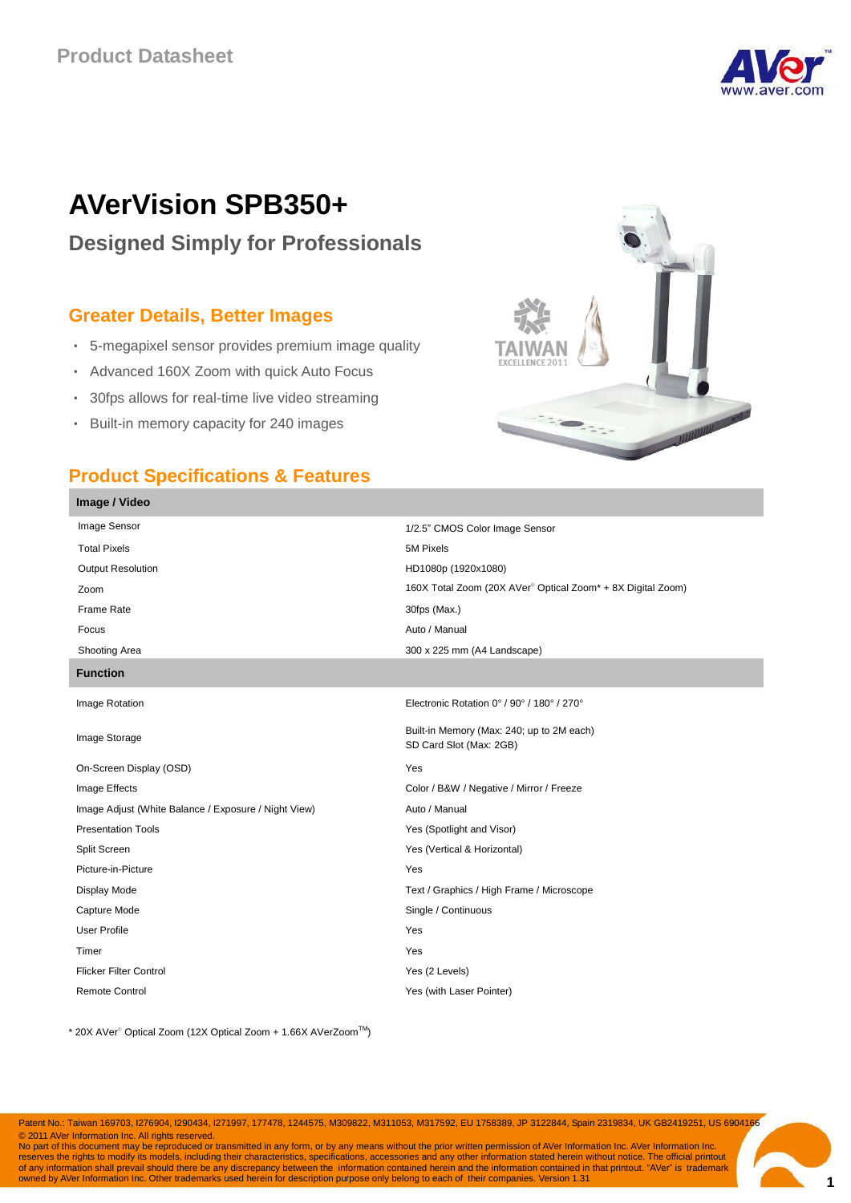

# **AVerVision SPB350+**

# **Designed Simply for Professionals**

### **Greater Details, Better Images**

- 5-megapixel sensor provides premium image quality
- Advanced 160X Zoom with quick Auto Focus
- 30fps allows for real-time live video streaming
- Built-in memory capacity for 240 images

## **Product Specifications & Features**

**Image / Video**



| Image Sensor                                         | 1/2.5" CMOS Color Image Sensor                                       |
|------------------------------------------------------|----------------------------------------------------------------------|
| <b>Total Pixels</b>                                  | 5M Pixels                                                            |
| <b>Output Resolution</b>                             | HD1080p (1920x1080)                                                  |
| Zoom                                                 | 160X Total Zoom (20X AVer® Optical Zoom* + 8X Digital Zoom)          |
| Frame Rate                                           | 30fps (Max.)                                                         |
| Focus                                                | Auto / Manual                                                        |
| Shooting Area                                        | 300 x 225 mm (A4 Landscape)                                          |
| <b>Function</b>                                      |                                                                      |
| Image Rotation                                       | Electronic Rotation 0° / 90° / 180° / 270°                           |
| Image Storage                                        | Built-in Memory (Max: 240; up to 2M each)<br>SD Card Slot (Max: 2GB) |
| On-Screen Display (OSD)                              | Yes                                                                  |
| Image Effects                                        | Color / B&W / Negative / Mirror / Freeze                             |
| Image Adjust (White Balance / Exposure / Night View) | Auto / Manual                                                        |
| <b>Presentation Tools</b>                            | Yes (Spotlight and Visor)                                            |
| Split Screen                                         | Yes (Vertical & Horizontal)                                          |
| Picture-in-Picture                                   | Yes                                                                  |
| Display Mode                                         | Text / Graphics / High Frame / Microscope                            |
| Capture Mode                                         | Single / Continuous                                                  |
| <b>User Profile</b>                                  | Yes                                                                  |
| Timer                                                | Yes                                                                  |
| <b>Flicker Filter Control</b>                        | Yes (2 Levels)                                                       |
| <b>Remote Control</b>                                | Yes (with Laser Pointer)                                             |
|                                                      |                                                                      |

\* 20X AVer® Optical Zoom (12X Optical Zoom + 1.66X AVerZoomTM)

Patent No.: Taiwan 169703, I276904, I290434, I271997, 177478, 1244575, M309822, M311053, M317592, EU 1758389, JP 3122844, Spain 2319834, UK GB2419251, US 6904166 © 2011 AVer Information Inc. All rights reserved.

No part of this document may be reproduced or transmitted in any form, or by any means without the prior written permission of AVer Information Inc. AVer Information Inc. reserves the rights to modify its models, including their characteristics, specifications, accessories and any other information stated herein without notice. The official printout<br>of any information shall prevail should t owned by AVer Information Inc. Other trademarks used herein for description purpose only belong to each of their companies. Version 1.31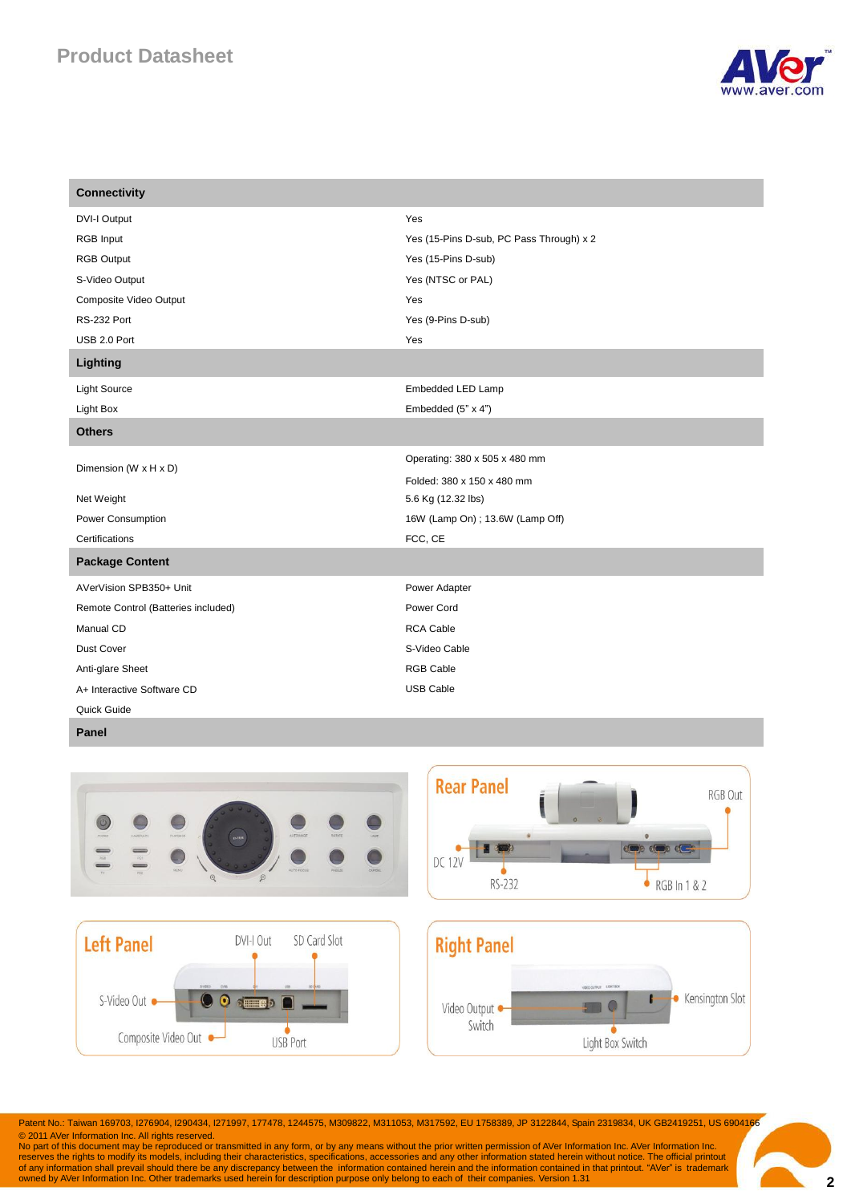# **Product Datasheet**



| <b>Connectivity</b>                 |                                          |
|-------------------------------------|------------------------------------------|
| <b>DVI-I Output</b>                 | Yes                                      |
| RGB Input                           | Yes (15-Pins D-sub, PC Pass Through) x 2 |
| <b>RGB Output</b>                   | Yes (15-Pins D-sub)                      |
| S-Video Output                      | Yes (NTSC or PAL)                        |
| Composite Video Output              | Yes                                      |
| RS-232 Port                         | Yes (9-Pins D-sub)                       |
| USB 2.0 Port                        | Yes                                      |
| Lighting                            |                                          |
| <b>Light Source</b>                 | Embedded LED Lamp                        |
| Light Box                           | Embedded (5" x 4")                       |
| <b>Others</b>                       |                                          |
| Dimension (W x H x D)               | Operating: 380 x 505 x 480 mm            |
|                                     | Folded: 380 x 150 x 480 mm               |
| Net Weight                          | 5.6 Kg (12.32 lbs)                       |
| Power Consumption                   | 16W (Lamp On) ; 13.6W (Lamp Off)         |
| Certifications                      | FCC, CE                                  |
| <b>Package Content</b>              |                                          |
| AVerVision SPB350+ Unit             | Power Adapter                            |
| Remote Control (Batteries included) | Power Cord                               |
| Manual CD                           | <b>RCA Cable</b>                         |
| Dust Cover                          | S-Video Cable                            |
| Anti-glare Sheet                    | <b>RGB Cable</b>                         |
| A+ Interactive Software CD          | <b>USB Cable</b>                         |
| Quick Guide                         |                                          |

#### **Panel**



Patent No.: Taiwan 169703, I276904, I290434, I271997, 177478, 1244575, M309822, M311053, M317592, EU 1758389, JP 3122844, Spain 2319834, UK GB2419251, US 6904166 © 2011 AVer Information Inc. All rights reserved.

No part of this document may be reproduced or transmitted in any form, or by any means without the prior written permission of AVer Information Inc. AVer Information Inc.<br>The process the rights to modify its models, includ